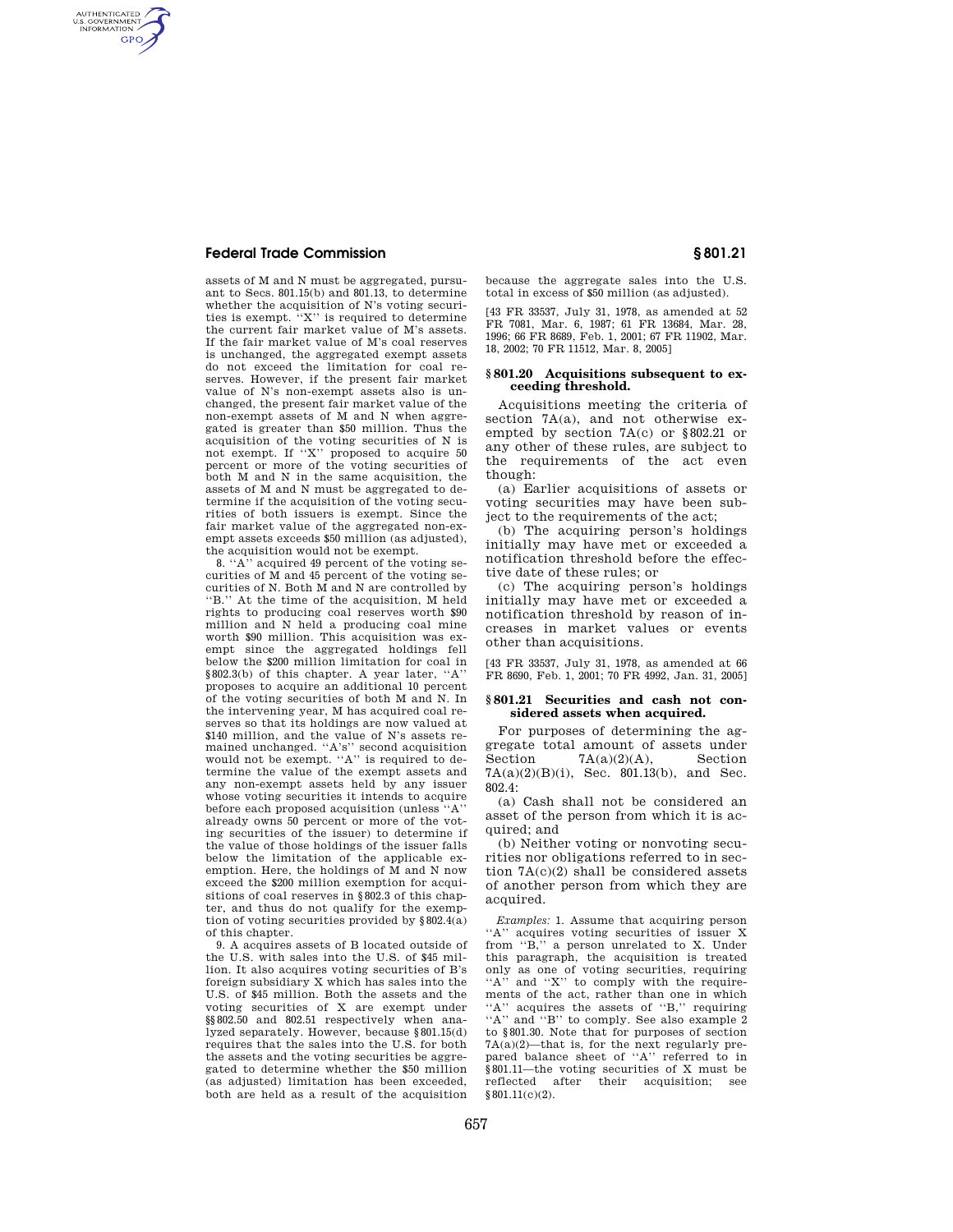## **Federal Trade Commission § 801.21**

AUTHENTICATED<br>U.S. GOVERNMENT<br>INFORMATION **GPO** 

> assets of M and N must be aggregated, pursuant to Secs. 801.15(b) and 801.13, to determine whether the acquisition of N's voting securities is exempt. ''X'' is required to determine the current fair market value of M's assets. If the fair market value of M's coal reserves is unchanged, the aggregated exempt assets do not exceed the limitation for coal reserves. However, if the present fair market value of N's non-exempt assets also is unchanged, the present fair market value of the non-exempt assets of M and N when aggregated is greater than \$50 million. Thus the acquisition of the voting securities of N is not exempt. If ''X'' proposed to acquire 50 percent or more of the voting securities of both M and N in the same acquisition, the assets of M and N must be aggregated to determine if the acquisition of the voting securities of both issuers is exempt. Since the fair market value of the aggregated non-exempt assets exceeds \$50 million (as adjusted), the acquisition would not be exempt.

> 8. ''A'' acquired 49 percent of the voting securities of M and 45 percent of the voting securities of N. Both M and N are controlled by ''B.'' At the time of the acquisition, M held rights to producing coal reserves worth \$90 million and N held a producing coal mine worth \$90 million. This acquisition was exempt since the aggregated holdings fell below the \$200 million limitation for coal in §802.3(b) of this chapter. A year later, ''A'' proposes to acquire an additional 10 percent of the voting securities of both M and N. In the intervening year, M has acquired coal reserves so that its holdings are now valued at \$140 million, and the value of N's assets remained unchanged. ''A's'' second acquisition would not be exempt. ''A'' is required to determine the value of the exempt assets and any non-exempt assets held by any issuer whose voting securities it intends to acquire before each proposed acquisition (unless ''A'' already owns 50 percent or more of the voting securities of the issuer) to determine if the value of those holdings of the issuer falls below the limitation of the applicable exemption. Here, the holdings of M and N now exceed the \$200 million exemption for acquisitions of coal reserves in §802.3 of this chapter, and thus do not qualify for the exemption of voting securities provided by  $§802.4(a)$ of this chapter.

> 9. A acquires assets of B located outside of the U.S. with sales into the U.S. of \$45 million. It also acquires voting securities of B's foreign subsidiary X which has sales into the U.S. of \$45 million. Both the assets and the voting securities of X are exempt under §§802.50 and 802.51 respectively when analyzed separately. However, because §801.15(d) requires that the sales into the U.S. for both the assets and the voting securities be aggregated to determine whether the \$50 million (as adjusted) limitation has been exceeded, both are held as a result of the acquisition

because the aggregate sales into the U.S. total in excess of \$50 million (as adjusted).

[43 FR 33537, July 31, 1978, as amended at 52 FR 7081, Mar. 6, 1987; 61 FR 13684, Mar. 28, 1996; 66 FR 8689, Feb. 1, 2001; 67 FR 11902, Mar. 18, 2002; 70 FR 11512, Mar. 8, 2005]

## **§ 801.20 Acquisitions subsequent to exceeding threshold.**

Acquisitions meeting the criteria of section 7A(a), and not otherwise exempted by section 7A(c) or §802.21 or any other of these rules, are subject to the requirements of the act even though:

(a) Earlier acquisitions of assets or voting securities may have been subject to the requirements of the act;

(b) The acquiring person's holdings initially may have met or exceeded a notification threshold before the effective date of these rules; or

(c) The acquiring person's holdings initially may have met or exceeded a notification threshold by reason of increases in market values or events other than acquisitions.

[43 FR 33537, July 31, 1978, as amended at 66 FR 8690, Feb. 1, 2001; 70 FR 4992, Jan. 31, 2005]

### **§ 801.21 Securities and cash not considered assets when acquired.**

For purposes of determining the aggregate total amount of assets under Section  $7A(a)(2)(A)$ , Section  $7A(a)(2)(B)(i)$ , Sec. 801.13(b), and Sec. 802.4:

(a) Cash shall not be considered an asset of the person from which it is acquired; and

(b) Neither voting or nonvoting securities nor obligations referred to in section 7A(c)(2) shall be considered assets of another person from which they are acquired.

*Examples:* 1. Assume that acquiring person "A" acquires voting securities of issuer X from ''B,'' a person unrelated to X. Under this paragraph, the acquisition is treated only as one of voting securities, requiring "A" and "X" to comply with the requirements of the act, rather than one in which "A" acquires the assets of "B," requiring "A" and "B" to comply. See also example 2 to §801.30. Note that for purposes of section 7A(a)(2)—that is, for the next regularly prepared balance sheet of ''A'' referred to in §801.11—the voting securities of X must be reflected after their acquisition; see  $§ 801.11(c)(2)$ .